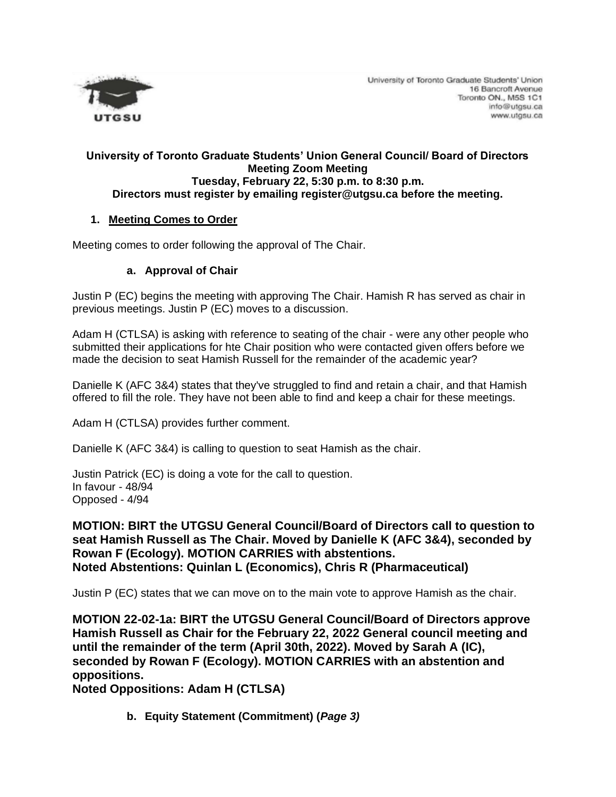

#### **University of Toronto Graduate Students' Union General Council/ Board of Directors Meeting Zoom Meeting Tuesday, February 22, 5:30 p.m. to 8:30 p.m. Directors must register by emailing register@utgsu.ca before the meeting.**

#### **1. Meeting Comes to Order**

Meeting comes to order following the approval of The Chair.

#### **a. Approval of Chair**

Justin P (EC) begins the meeting with approving The Chair. Hamish R has served as chair in previous meetings. Justin P (EC) moves to a discussion.

Adam H (CTLSA) is asking with reference to seating of the chair - were any other people who submitted their applications for hte Chair position who were contacted given offers before we made the decision to seat Hamish Russell for the remainder of the academic year?

Danielle K (AFC 3&4) states that they've struggled to find and retain a chair, and that Hamish offered to fill the role. They have not been able to find and keep a chair for these meetings.

Adam H (CTLSA) provides further comment.

Danielle K (AFC 3&4) is calling to question to seat Hamish as the chair.

Justin Patrick (EC) is doing a vote for the call to question. In favour - 48/94 Opposed - 4/94

**MOTION: BIRT the UTGSU General Council/Board of Directors call to question to seat Hamish Russell as The Chair. Moved by Danielle K (AFC 3&4), seconded by Rowan F (Ecology). MOTION CARRIES with abstentions. Noted Abstentions: Quinlan L (Economics), Chris R (Pharmaceutical)**

Justin P (EC) states that we can move on to the main vote to approve Hamish as the chair.

**MOTION 22-02-1a: BIRT the UTGSU General Council/Board of Directors approve Hamish Russell as Chair for the February 22, 2022 General council meeting and until the remainder of the term (April 30th, 2022). Moved by Sarah A (IC), seconded by Rowan F (Ecology). MOTION CARRIES with an abstention and oppositions.** 

**Noted Oppositions: Adam H (CTLSA)**

**b. Equity Statement (Commitment) (***Page 3)*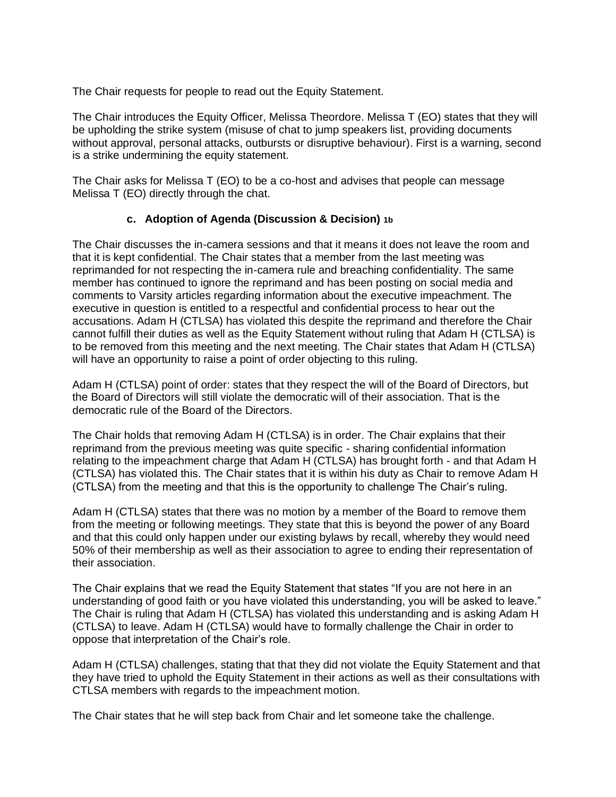The Chair requests for people to read out the Equity Statement.

The Chair introduces the Equity Officer, Melissa Theordore. Melissa T (EO) states that they will be upholding the strike system (misuse of chat to jump speakers list, providing documents without approval, personal attacks, outbursts or disruptive behaviour). First is a warning, second is a strike undermining the equity statement.

The Chair asks for Melissa T (EO) to be a co-host and advises that people can message Melissa T (EO) directly through the chat.

#### **c. Adoption of Agenda (Discussion & Decision) 1b**

The Chair discusses the in-camera sessions and that it means it does not leave the room and that it is kept confidential. The Chair states that a member from the last meeting was reprimanded for not respecting the in-camera rule and breaching confidentiality. The same member has continued to ignore the reprimand and has been posting on social media and comments to Varsity articles regarding information about the executive impeachment. The executive in question is entitled to a respectful and confidential process to hear out the accusations. Adam H (CTLSA) has violated this despite the reprimand and therefore the Chair cannot fulfill their duties as well as the Equity Statement without ruling that Adam H (CTLSA) is to be removed from this meeting and the next meeting. The Chair states that Adam H (CTLSA) will have an opportunity to raise a point of order objecting to this ruling.

Adam H (CTLSA) point of order: states that they respect the will of the Board of Directors, but the Board of Directors will still violate the democratic will of their association. That is the democratic rule of the Board of the Directors.

The Chair holds that removing Adam H (CTLSA) is in order. The Chair explains that their reprimand from the previous meeting was quite specific - sharing confidential information relating to the impeachment charge that Adam H (CTLSA) has brought forth - and that Adam H (CTLSA) has violated this. The Chair states that it is within his duty as Chair to remove Adam H (CTLSA) from the meeting and that this is the opportunity to challenge The Chair's ruling.

Adam H (CTLSA) states that there was no motion by a member of the Board to remove them from the meeting or following meetings. They state that this is beyond the power of any Board and that this could only happen under our existing bylaws by recall, whereby they would need 50% of their membership as well as their association to agree to ending their representation of their association.

The Chair explains that we read the Equity Statement that states "If you are not here in an understanding of good faith or you have violated this understanding, you will be asked to leave." The Chair is ruling that Adam H (CTLSA) has violated this understanding and is asking Adam H (CTLSA) to leave. Adam H (CTLSA) would have to formally challenge the Chair in order to oppose that interpretation of the Chair's role.

Adam H (CTLSA) challenges, stating that that they did not violate the Equity Statement and that they have tried to uphold the Equity Statement in their actions as well as their consultations with CTLSA members with regards to the impeachment motion.

The Chair states that he will step back from Chair and let someone take the challenge.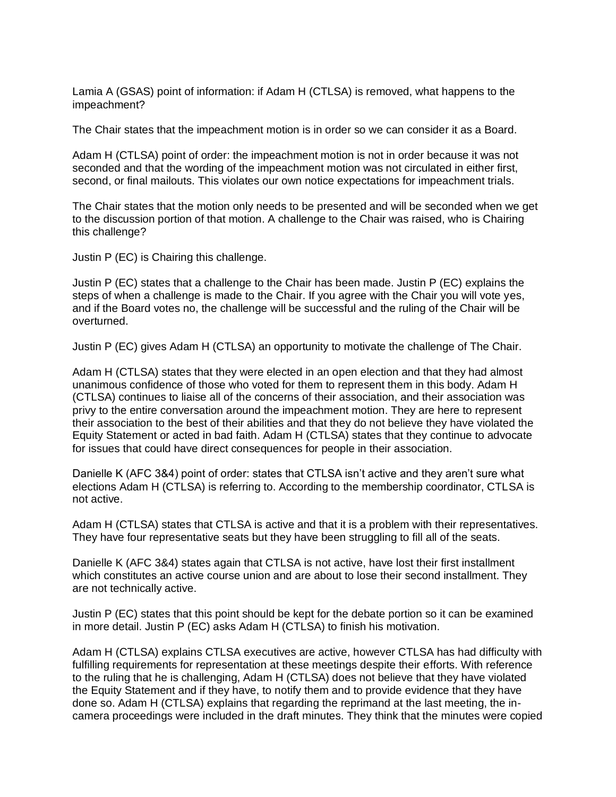Lamia A (GSAS) point of information: if Adam H (CTLSA) is removed, what happens to the impeachment?

The Chair states that the impeachment motion is in order so we can consider it as a Board.

Adam H (CTLSA) point of order: the impeachment motion is not in order because it was not seconded and that the wording of the impeachment motion was not circulated in either first, second, or final mailouts. This violates our own notice expectations for impeachment trials.

The Chair states that the motion only needs to be presented and will be seconded when we get to the discussion portion of that motion. A challenge to the Chair was raised, who is Chairing this challenge?

Justin P (EC) is Chairing this challenge.

Justin P (EC) states that a challenge to the Chair has been made. Justin P (EC) explains the steps of when a challenge is made to the Chair. If you agree with the Chair you will vote yes, and if the Board votes no, the challenge will be successful and the ruling of the Chair will be overturned.

Justin P (EC) gives Adam H (CTLSA) an opportunity to motivate the challenge of The Chair.

Adam H (CTLSA) states that they were elected in an open election and that they had almost unanimous confidence of those who voted for them to represent them in this body. Adam H (CTLSA) continues to liaise all of the concerns of their association, and their association was privy to the entire conversation around the impeachment motion. They are here to represent their association to the best of their abilities and that they do not believe they have violated the Equity Statement or acted in bad faith. Adam H (CTLSA) states that they continue to advocate for issues that could have direct consequences for people in their association.

Danielle K (AFC 3&4) point of order: states that CTLSA isn't active and they aren't sure what elections Adam H (CTLSA) is referring to. According to the membership coordinator, CTLSA is not active.

Adam H (CTLSA) states that CTLSA is active and that it is a problem with their representatives. They have four representative seats but they have been struggling to fill all of the seats.

Danielle K (AFC 3&4) states again that CTLSA is not active, have lost their first installment which constitutes an active course union and are about to lose their second installment. They are not technically active.

Justin P (EC) states that this point should be kept for the debate portion so it can be examined in more detail. Justin P (EC) asks Adam H (CTLSA) to finish his motivation.

Adam H (CTLSA) explains CTLSA executives are active, however CTLSA has had difficulty with fulfilling requirements for representation at these meetings despite their efforts. With reference to the ruling that he is challenging, Adam H (CTLSA) does not believe that they have violated the Equity Statement and if they have, to notify them and to provide evidence that they have done so. Adam H (CTLSA) explains that regarding the reprimand at the last meeting, the incamera proceedings were included in the draft minutes. They think that the minutes were copied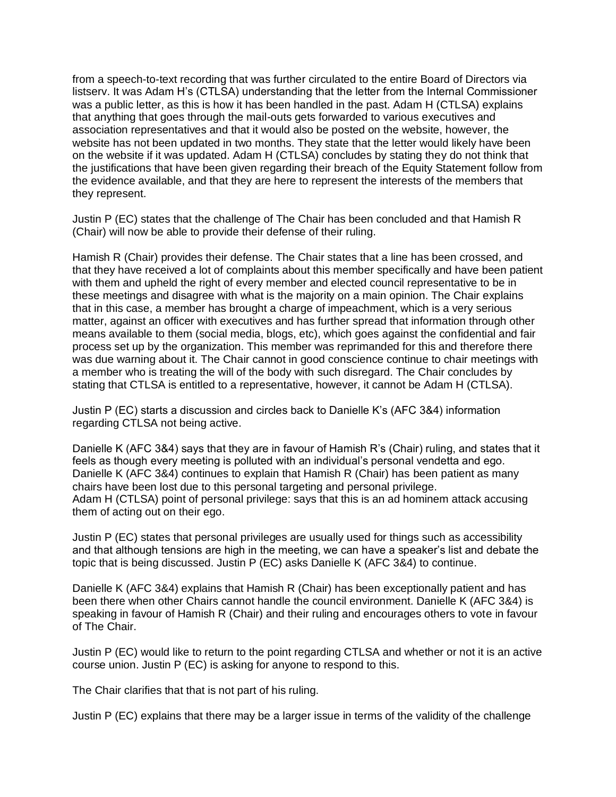from a speech-to-text recording that was further circulated to the entire Board of Directors via listserv. It was Adam H's (CTLSA) understanding that the letter from the Internal Commissioner was a public letter, as this is how it has been handled in the past. Adam H (CTLSA) explains that anything that goes through the mail-outs gets forwarded to various executives and association representatives and that it would also be posted on the website, however, the website has not been updated in two months. They state that the letter would likely have been on the website if it was updated. Adam H (CTLSA) concludes by stating they do not think that the justifications that have been given regarding their breach of the Equity Statement follow from the evidence available, and that they are here to represent the interests of the members that they represent.

Justin P (EC) states that the challenge of The Chair has been concluded and that Hamish R (Chair) will now be able to provide their defense of their ruling.

Hamish R (Chair) provides their defense. The Chair states that a line has been crossed, and that they have received a lot of complaints about this member specifically and have been patient with them and upheld the right of every member and elected council representative to be in these meetings and disagree with what is the majority on a main opinion. The Chair explains that in this case, a member has brought a charge of impeachment, which is a very serious matter, against an officer with executives and has further spread that information through other means available to them (social media, blogs, etc), which goes against the confidential and fair process set up by the organization. This member was reprimanded for this and therefore there was due warning about it. The Chair cannot in good conscience continue to chair meetings with a member who is treating the will of the body with such disregard. The Chair concludes by stating that CTLSA is entitled to a representative, however, it cannot be Adam H (CTLSA).

Justin P (EC) starts a discussion and circles back to Danielle K's (AFC 3&4) information regarding CTLSA not being active.

Danielle K (AFC 3&4) says that they are in favour of Hamish R's (Chair) ruling, and states that it feels as though every meeting is polluted with an individual's personal vendetta and ego. Danielle K (AFC 3&4) continues to explain that Hamish R (Chair) has been patient as many chairs have been lost due to this personal targeting and personal privilege. Adam H (CTLSA) point of personal privilege: says that this is an ad hominem attack accusing them of acting out on their ego.

Justin P (EC) states that personal privileges are usually used for things such as accessibility and that although tensions are high in the meeting, we can have a speaker's list and debate the topic that is being discussed. Justin P (EC) asks Danielle K (AFC 3&4) to continue.

Danielle K (AFC 3&4) explains that Hamish R (Chair) has been exceptionally patient and has been there when other Chairs cannot handle the council environment. Danielle K (AFC 3&4) is speaking in favour of Hamish R (Chair) and their ruling and encourages others to vote in favour of The Chair.

Justin P (EC) would like to return to the point regarding CTLSA and whether or not it is an active course union. Justin P (EC) is asking for anyone to respond to this.

The Chair clarifies that that is not part of his ruling.

Justin P (EC) explains that there may be a larger issue in terms of the validity of the challenge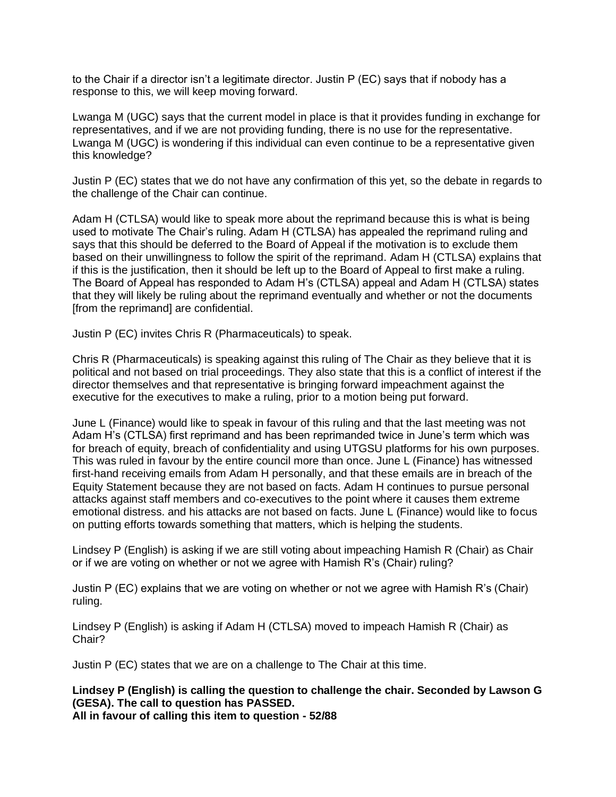to the Chair if a director isn't a legitimate director. Justin P (EC) says that if nobody has a response to this, we will keep moving forward.

Lwanga M (UGC) says that the current model in place is that it provides funding in exchange for representatives, and if we are not providing funding, there is no use for the representative. Lwanga M (UGC) is wondering if this individual can even continue to be a representative given this knowledge?

Justin P (EC) states that we do not have any confirmation of this yet, so the debate in regards to the challenge of the Chair can continue.

Adam H (CTLSA) would like to speak more about the reprimand because this is what is being used to motivate The Chair's ruling. Adam H (CTLSA) has appealed the reprimand ruling and says that this should be deferred to the Board of Appeal if the motivation is to exclude them based on their unwillingness to follow the spirit of the reprimand. Adam H (CTLSA) explains that if this is the justification, then it should be left up to the Board of Appeal to first make a ruling. The Board of Appeal has responded to Adam H's (CTLSA) appeal and Adam H (CTLSA) states that they will likely be ruling about the reprimand eventually and whether or not the documents [from the reprimand] are confidential.

Justin P (EC) invites Chris R (Pharmaceuticals) to speak.

Chris R (Pharmaceuticals) is speaking against this ruling of The Chair as they believe that it is political and not based on trial proceedings. They also state that this is a conflict of interest if the director themselves and that representative is bringing forward impeachment against the executive for the executives to make a ruling, prior to a motion being put forward.

June L (Finance) would like to speak in favour of this ruling and that the last meeting was not Adam H's (CTLSA) first reprimand and has been reprimanded twice in June's term which was for breach of equity, breach of confidentiality and using UTGSU platforms for his own purposes. This was ruled in favour by the entire council more than once. June L (Finance) has witnessed first-hand receiving emails from Adam H personally, and that these emails are in breach of the Equity Statement because they are not based on facts. Adam H continues to pursue personal attacks against staff members and co-executives to the point where it causes them extreme emotional distress. and his attacks are not based on facts. June L (Finance) would like to focus on putting efforts towards something that matters, which is helping the students.

Lindsey P (English) is asking if we are still voting about impeaching Hamish R (Chair) as Chair or if we are voting on whether or not we agree with Hamish R's (Chair) ruling?

Justin P (EC) explains that we are voting on whether or not we agree with Hamish R's (Chair) ruling.

Lindsey P (English) is asking if Adam H (CTLSA) moved to impeach Hamish R (Chair) as Chair?

Justin P (EC) states that we are on a challenge to The Chair at this time.

**Lindsey P (English) is calling the question to challenge the chair. Seconded by Lawson G (GESA). The call to question has PASSED. All in favour of calling this item to question - 52/88**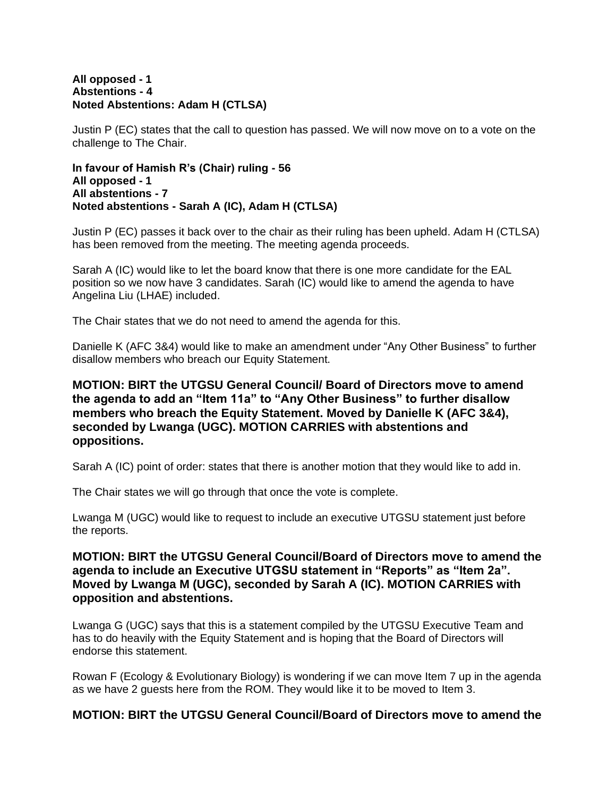#### **All opposed - 1 Abstentions - 4 Noted Abstentions: Adam H (CTLSA)**

Justin P (EC) states that the call to question has passed. We will now move on to a vote on the challenge to The Chair.

**In favour of Hamish R's (Chair) ruling - 56 All opposed - 1 All abstentions - 7 Noted abstentions - Sarah A (IC), Adam H (CTLSA)**

Justin P (EC) passes it back over to the chair as their ruling has been upheld. Adam H (CTLSA) has been removed from the meeting. The meeting agenda proceeds.

Sarah A (IC) would like to let the board know that there is one more candidate for the EAL position so we now have 3 candidates. Sarah (IC) would like to amend the agenda to have Angelina Liu (LHAE) included.

The Chair states that we do not need to amend the agenda for this.

Danielle K (AFC 3&4) would like to make an amendment under "Any Other Business" to further disallow members who breach our Equity Statement.

**MOTION: BIRT the UTGSU General Council/ Board of Directors move to amend the agenda to add an "Item 11a" to "Any Other Business" to further disallow members who breach the Equity Statement. Moved by Danielle K (AFC 3&4), seconded by Lwanga (UGC). MOTION CARRIES with abstentions and oppositions.**

Sarah A (IC) point of order: states that there is another motion that they would like to add in.

The Chair states we will go through that once the vote is complete.

Lwanga M (UGC) would like to request to include an executive UTGSU statement just before the reports.

#### **MOTION: BIRT the UTGSU General Council/Board of Directors move to amend the agenda to include an Executive UTGSU statement in "Reports" as "Item 2a". Moved by Lwanga M (UGC), seconded by Sarah A (IC). MOTION CARRIES with opposition and abstentions.**

Lwanga G (UGC) says that this is a statement compiled by the UTGSU Executive Team and has to do heavily with the Equity Statement and is hoping that the Board of Directors will endorse this statement.

Rowan F (Ecology & Evolutionary Biology) is wondering if we can move Item 7 up in the agenda as we have 2 guests here from the ROM. They would like it to be moved to Item 3.

#### **MOTION: BIRT the UTGSU General Council/Board of Directors move to amend the**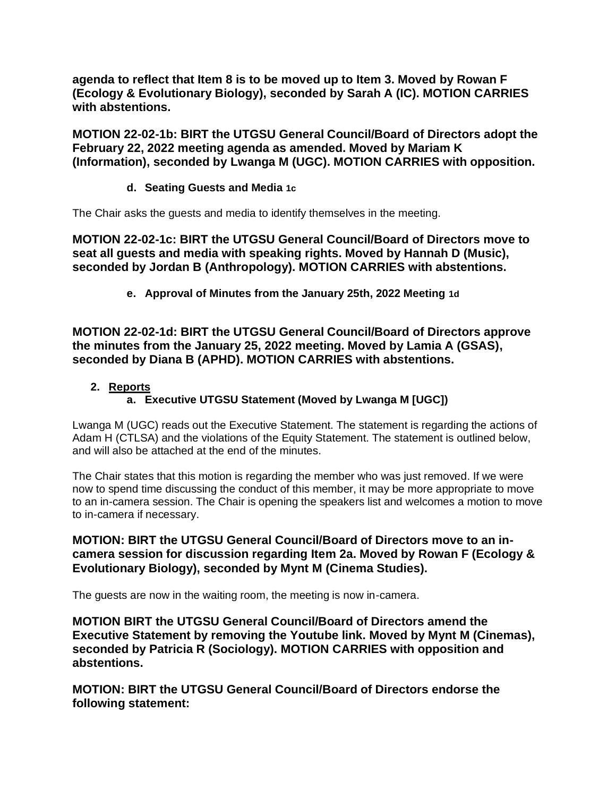**agenda to reflect that Item 8 is to be moved up to Item 3. Moved by Rowan F (Ecology & Evolutionary Biology), seconded by Sarah A (IC). MOTION CARRIES with abstentions.**

**MOTION 22-02-1b: BIRT the UTGSU General Council/Board of Directors adopt the February 22, 2022 meeting agenda as amended. Moved by Mariam K (Information), seconded by Lwanga M (UGC). MOTION CARRIES with opposition.**

## **d. Seating Guests and Media 1c**

The Chair asks the guests and media to identify themselves in the meeting.

**MOTION 22-02-1c: BIRT the UTGSU General Council/Board of Directors move to seat all guests and media with speaking rights. Moved by Hannah D (Music), seconded by Jordan B (Anthropology). MOTION CARRIES with abstentions.**

**e. Approval of Minutes from the January 25th, 2022 Meeting 1d**

**MOTION 22-02-1d: BIRT the UTGSU General Council/Board of Directors approve the minutes from the January 25, 2022 meeting. Moved by Lamia A (GSAS), seconded by Diana B (APHD). MOTION CARRIES with abstentions.**

# **2. Reports**

# **a. Executive UTGSU Statement (Moved by Lwanga M [UGC])**

Lwanga M (UGC) reads out the Executive Statement. The statement is regarding the actions of Adam H (CTLSA) and the violations of the Equity Statement. The statement is outlined below, and will also be attached at the end of the minutes.

The Chair states that this motion is regarding the member who was just removed. If we were now to spend time discussing the conduct of this member, it may be more appropriate to move to an in-camera session. The Chair is opening the speakers list and welcomes a motion to move to in-camera if necessary.

#### **MOTION: BIRT the UTGSU General Council/Board of Directors move to an incamera session for discussion regarding Item 2a. Moved by Rowan F (Ecology & Evolutionary Biology), seconded by Mynt M (Cinema Studies).**

The guests are now in the waiting room, the meeting is now in-camera.

**MOTION BIRT the UTGSU General Council/Board of Directors amend the Executive Statement by removing the Youtube link. Moved by Mynt M (Cinemas), seconded by Patricia R (Sociology). MOTION CARRIES with opposition and abstentions.**

**MOTION: BIRT the UTGSU General Council/Board of Directors endorse the following statement:**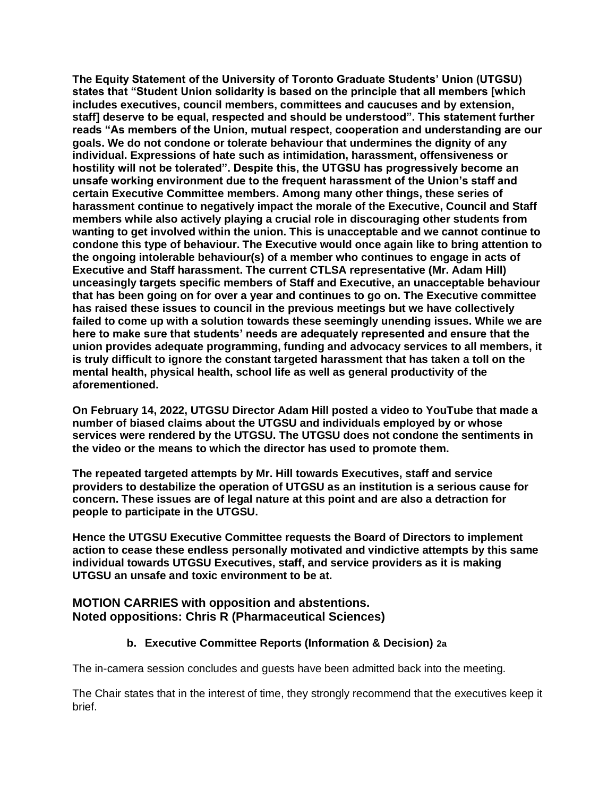**The Equity Statement of the University of Toronto Graduate Students' Union (UTGSU) states that "Student Union solidarity is based on the principle that all members [which includes executives, council members, committees and caucuses and by extension, staff] deserve to be equal, respected and should be understood". This statement further reads "As members of the Union, mutual respect, cooperation and understanding are our goals. We do not condone or tolerate behaviour that undermines the dignity of any individual. Expressions of hate such as intimidation, harassment, offensiveness or hostility will not be tolerated". Despite this, the UTGSU has progressively become an unsafe working environment due to the frequent harassment of the Union's staff and certain Executive Committee members. Among many other things, these series of harassment continue to negatively impact the morale of the Executive, Council and Staff members while also actively playing a crucial role in discouraging other students from wanting to get involved within the union. This is unacceptable and we cannot continue to condone this type of behaviour. The Executive would once again like to bring attention to the ongoing intolerable behaviour(s) of a member who continues to engage in acts of Executive and Staff harassment. The current CTLSA representative (Mr. Adam Hill) unceasingly targets specific members of Staff and Executive, an unacceptable behaviour that has been going on for over a year and continues to go on. The Executive committee has raised these issues to council in the previous meetings but we have collectively failed to come up with a solution towards these seemingly unending issues. While we are here to make sure that students' needs are adequately represented and ensure that the union provides adequate programming, funding and advocacy services to all members, it is truly difficult to ignore the constant targeted harassment that has taken a toll on the mental health, physical health, school life as well as general productivity of the aforementioned.**

**On February 14, 2022, UTGSU Director Adam Hill posted a video to YouTube that made a number of biased claims about the UTGSU and individuals employed by or whose services were rendered by the UTGSU. The UTGSU does not condone the sentiments in the video or the means to which the director has used to promote them.**

**The repeated targeted attempts by Mr. Hill towards Executives, staff and service providers to destabilize the operation of UTGSU as an institution is a serious cause for concern. These issues are of legal nature at this point and are also a detraction for people to participate in the UTGSU.**

**Hence the UTGSU Executive Committee requests the Board of Directors to implement action to cease these endless personally motivated and vindictive attempts by this same individual towards UTGSU Executives, staff, and service providers as it is making UTGSU an unsafe and toxic environment to be at.**

## **MOTION CARRIES with opposition and abstentions. Noted oppositions: Chris R (Pharmaceutical Sciences)**

## **b. Executive Committee Reports (Information & Decision) 2a**

The in-camera session concludes and guests have been admitted back into the meeting.

The Chair states that in the interest of time, they strongly recommend that the executives keep it brief.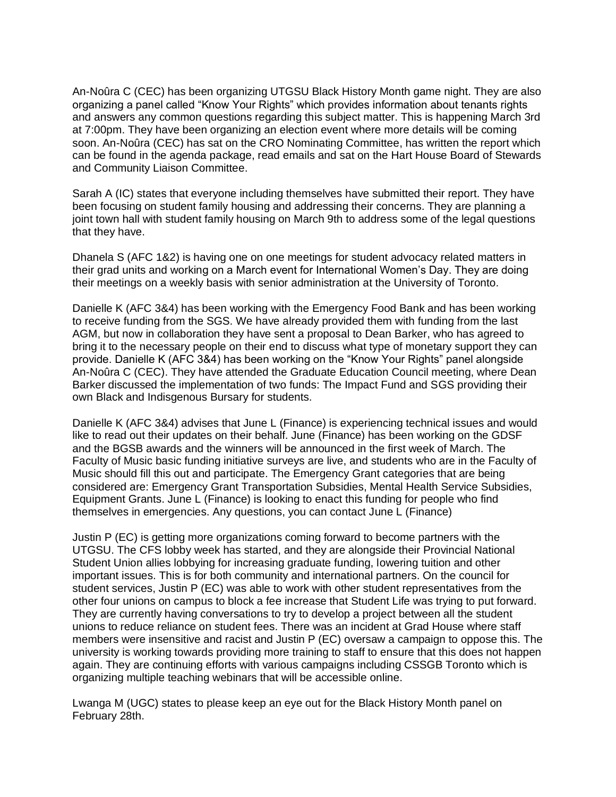An-Noûra C (CEC) has been organizing UTGSU Black History Month game night. They are also organizing a panel called "Know Your Rights" which provides information about tenants rights and answers any common questions regarding this subject matter. This is happening March 3rd at 7:00pm. They have been organizing an election event where more details will be coming soon. An-Noûra (CEC) has sat on the CRO Nominating Committee, has written the report which can be found in the agenda package, read emails and sat on the Hart House Board of Stewards and Community Liaison Committee.

Sarah A (IC) states that everyone including themselves have submitted their report. They have been focusing on student family housing and addressing their concerns. They are planning a joint town hall with student family housing on March 9th to address some of the legal questions that they have.

Dhanela S (AFC 1&2) is having one on one meetings for student advocacy related matters in their grad units and working on a March event for International Women's Day. They are doing their meetings on a weekly basis with senior administration at the University of Toronto.

Danielle K (AFC 3&4) has been working with the Emergency Food Bank and has been working to receive funding from the SGS. We have already provided them with funding from the last AGM, but now in collaboration they have sent a proposal to Dean Barker, who has agreed to bring it to the necessary people on their end to discuss what type of monetary support they can provide. Danielle K (AFC 3&4) has been working on the "Know Your Rights" panel alongside An-Noûra C (CEC). They have attended the Graduate Education Council meeting, where Dean Barker discussed the implementation of two funds: The Impact Fund and SGS providing their own Black and Indisgenous Bursary for students.

Danielle K (AFC 3&4) advises that June L (Finance) is experiencing technical issues and would like to read out their updates on their behalf. June (Finance) has been working on the GDSF and the BGSB awards and the winners will be announced in the first week of March. The Faculty of Music basic funding initiative surveys are live, and students who are in the Faculty of Music should fill this out and participate. The Emergency Grant categories that are being considered are: Emergency Grant Transportation Subsidies, Mental Health Service Subsidies, Equipment Grants. June L (Finance) is looking to enact this funding for people who find themselves in emergencies. Any questions, you can contact June L (Finance)

Justin P (EC) is getting more organizations coming forward to become partners with the UTGSU. The CFS lobby week has started, and they are alongside their Provincial National Student Union allies lobbying for increasing graduate funding, lowering tuition and other important issues. This is for both community and international partners. On the council for student services, Justin P (EC) was able to work with other student representatives from the other four unions on campus to block a fee increase that Student Life was trying to put forward. They are currently having conversations to try to develop a project between all the student unions to reduce reliance on student fees. There was an incident at Grad House where staff members were insensitive and racist and Justin P (EC) oversaw a campaign to oppose this. The university is working towards providing more training to staff to ensure that this does not happen again. They are continuing efforts with various campaigns including CSSGB Toronto which is organizing multiple teaching webinars that will be accessible online.

Lwanga M (UGC) states to please keep an eye out for the Black History Month panel on February 28th.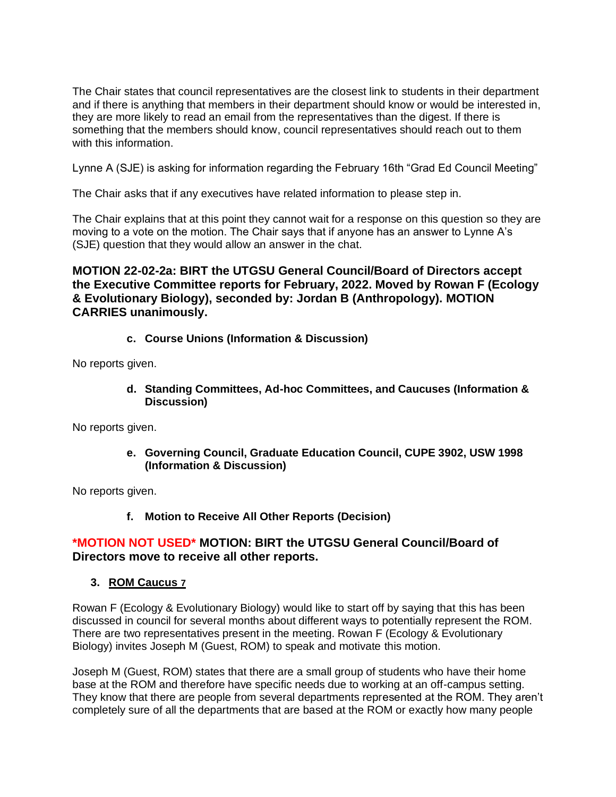The Chair states that council representatives are the closest link to students in their department and if there is anything that members in their department should know or would be interested in, they are more likely to read an email from the representatives than the digest. If there is something that the members should know, council representatives should reach out to them with this information.

Lynne A (SJE) is asking for information regarding the February 16th "Grad Ed Council Meeting"

The Chair asks that if any executives have related information to please step in.

The Chair explains that at this point they cannot wait for a response on this question so they are moving to a vote on the motion. The Chair says that if anyone has an answer to Lynne A's (SJE) question that they would allow an answer in the chat.

## **MOTION 22-02-2a: BIRT the UTGSU General Council/Board of Directors accept the Executive Committee reports for February, 2022. Moved by Rowan F (Ecology & Evolutionary Biology), seconded by: Jordan B (Anthropology). MOTION CARRIES unanimously.**

**c. Course Unions (Information & Discussion)**

No reports given.

**d. Standing Committees, Ad-hoc Committees, and Caucuses (Information & Discussion)**

No reports given.

**e. Governing Council, Graduate Education Council, CUPE 3902, USW 1998 (Information & Discussion)**

No reports given.

**f. Motion to Receive All Other Reports (Decision)**

## **\*MOTION NOT USED\* MOTION: BIRT the UTGSU General Council/Board of Directors move to receive all other reports.**

#### **3. ROM Caucus 7**

Rowan F (Ecology & Evolutionary Biology) would like to start off by saying that this has been discussed in council for several months about different ways to potentially represent the ROM. There are two representatives present in the meeting. Rowan F (Ecology & Evolutionary Biology) invites Joseph M (Guest, ROM) to speak and motivate this motion.

Joseph M (Guest, ROM) states that there are a small group of students who have their home base at the ROM and therefore have specific needs due to working at an off-campus setting. They know that there are people from several departments represented at the ROM. They aren't completely sure of all the departments that are based at the ROM or exactly how many people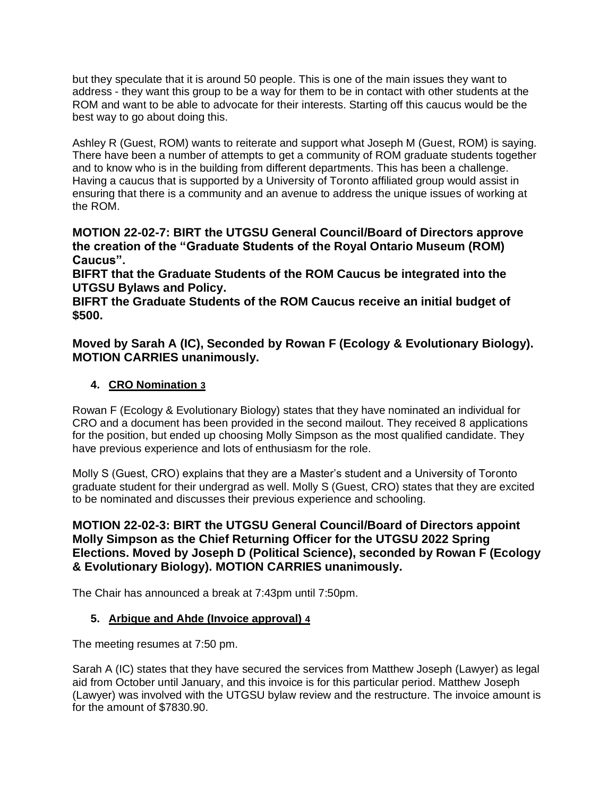but they speculate that it is around 50 people. This is one of the main issues they want to address - they want this group to be a way for them to be in contact with other students at the ROM and want to be able to advocate for their interests. Starting off this caucus would be the best way to go about doing this.

Ashley R (Guest, ROM) wants to reiterate and support what Joseph M (Guest, ROM) is saying. There have been a number of attempts to get a community of ROM graduate students together and to know who is in the building from different departments. This has been a challenge. Having a caucus that is supported by a University of Toronto affiliated group would assist in ensuring that there is a community and an avenue to address the unique issues of working at the ROM.

**MOTION 22-02-7: BIRT the UTGSU General Council/Board of Directors approve the creation of the "Graduate Students of the Royal Ontario Museum (ROM) Caucus".**

**BIFRT that the Graduate Students of the ROM Caucus be integrated into the UTGSU Bylaws and Policy.** 

**BIFRT the Graduate Students of the ROM Caucus receive an initial budget of \$500.**

## **Moved by Sarah A (IC), Seconded by Rowan F (Ecology & Evolutionary Biology). MOTION CARRIES unanimously.**

# **4. CRO Nomination 3**

Rowan F (Ecology & Evolutionary Biology) states that they have nominated an individual for CRO and a document has been provided in the second mailout. They received 8 applications for the position, but ended up choosing Molly Simpson as the most qualified candidate. They have previous experience and lots of enthusiasm for the role.

Molly S (Guest, CRO) explains that they are a Master's student and a University of Toronto graduate student for their undergrad as well. Molly S (Guest, CRO) states that they are excited to be nominated and discusses their previous experience and schooling.

# **MOTION 22-02-3: BIRT the UTGSU General Council/Board of Directors appoint Molly Simpson as the Chief Returning Officer for the UTGSU 2022 Spring Elections. Moved by Joseph D (Political Science), seconded by Rowan F (Ecology & Evolutionary Biology). MOTION CARRIES unanimously.**

The Chair has announced a break at 7:43pm until 7:50pm.

## **5. Arbique and Ahde (Invoice approval) 4**

The meeting resumes at 7:50 pm.

Sarah A (IC) states that they have secured the services from Matthew Joseph (Lawyer) as legal aid from October until January, and this invoice is for this particular period. Matthew Joseph (Lawyer) was involved with the UTGSU bylaw review and the restructure. The invoice amount is for the amount of \$7830.90.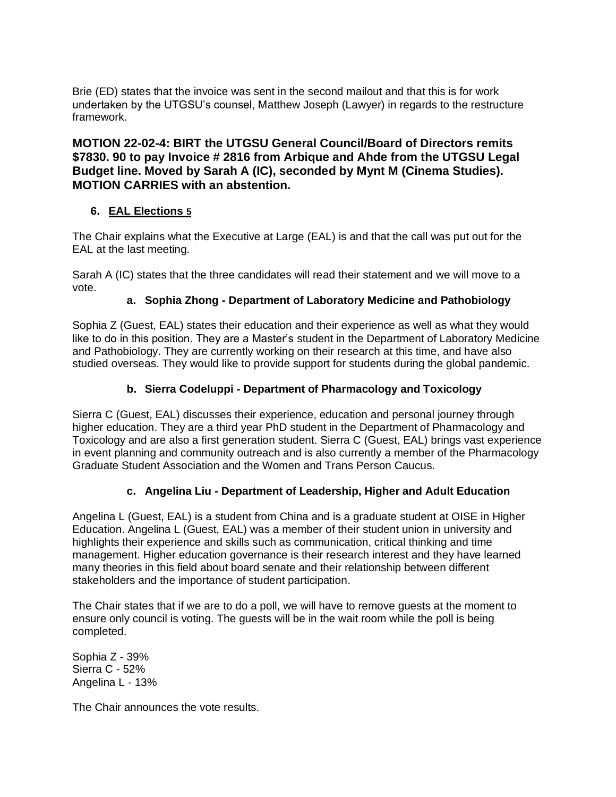Brie (ED) states that the invoice was sent in the second mailout and that this is for work undertaken by the UTGSU's counsel, Matthew Joseph (Lawyer) in regards to the restructure framework.

## **MOTION 22-02-4: BIRT the UTGSU General Council/Board of Directors remits \$7830. 90 to pay Invoice # 2816 from Arbique and Ahde from the UTGSU Legal Budget line. Moved by Sarah A (IC), seconded by Mynt M (Cinema Studies). MOTION CARRIES with an abstention.**

#### **6. EAL Elections 5**

The Chair explains what the Executive at Large (EAL) is and that the call was put out for the EAL at the last meeting.

Sarah A (IC) states that the three candidates will read their statement and we will move to a vote.

#### **a. Sophia Zhong - Department of Laboratory Medicine and Pathobiology**

Sophia Z (Guest, EAL) states their education and their experience as well as what they would like to do in this position. They are a Master's student in the Department of Laboratory Medicine and Pathobiology. They are currently working on their research at this time, and have also studied overseas. They would like to provide support for students during the global pandemic.

## **b. Sierra Codeluppi - Department of Pharmacology and Toxicology**

Sierra C (Guest, EAL) discusses their experience, education and personal journey through higher education. They are a third year PhD student in the Department of Pharmacology and Toxicology and are also a first generation student. Sierra C (Guest, EAL) brings vast experience in event planning and community outreach and is also currently a member of the Pharmacology Graduate Student Association and the Women and Trans Person Caucus.

#### **c. Angelina Liu - Department of Leadership, Higher and Adult Education**

Angelina L (Guest, EAL) is a student from China and is a graduate student at OISE in Higher Education. Angelina L (Guest, EAL) was a member of their student union in university and highlights their experience and skills such as communication, critical thinking and time management. Higher education governance is their research interest and they have learned many theories in this field about board senate and their relationship between different stakeholders and the importance of student participation.

The Chair states that if we are to do a poll, we will have to remove guests at the moment to ensure only council is voting. The guests will be in the wait room while the poll is being completed.

Sophia Z - 39% Sierra C - 52% Angelina L - 13%

The Chair announces the vote results.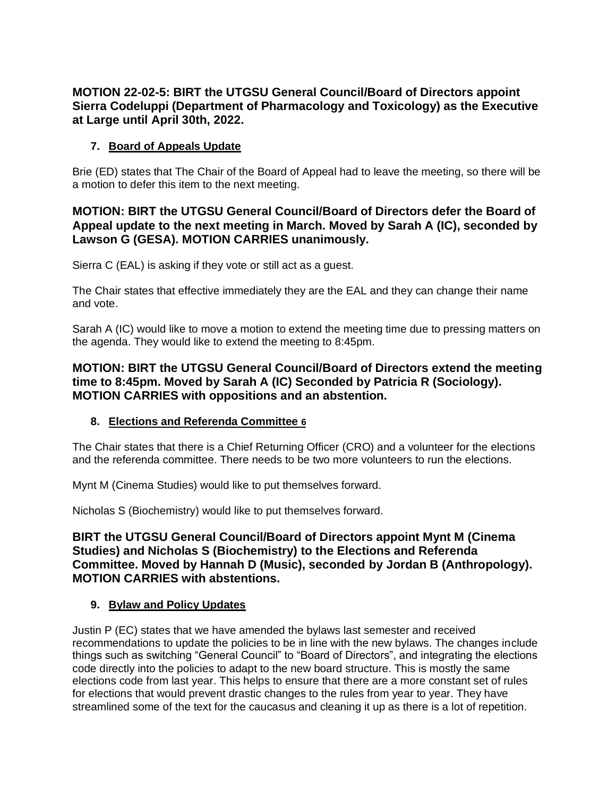# **MOTION 22-02-5: BIRT the UTGSU General Council/Board of Directors appoint Sierra Codeluppi (Department of Pharmacology and Toxicology) as the Executive at Large until April 30th, 2022.**

## **7. Board of Appeals Update**

Brie (ED) states that The Chair of the Board of Appeal had to leave the meeting, so there will be a motion to defer this item to the next meeting.

## **MOTION: BIRT the UTGSU General Council/Board of Directors defer the Board of Appeal update to the next meeting in March. Moved by Sarah A (IC), seconded by Lawson G (GESA). MOTION CARRIES unanimously.**

Sierra C (EAL) is asking if they vote or still act as a guest.

The Chair states that effective immediately they are the EAL and they can change their name and vote.

Sarah A (IC) would like to move a motion to extend the meeting time due to pressing matters on the agenda. They would like to extend the meeting to 8:45pm.

## **MOTION: BIRT the UTGSU General Council/Board of Directors extend the meeting time to 8:45pm. Moved by Sarah A (IC) Seconded by Patricia R (Sociology). MOTION CARRIES with oppositions and an abstention.**

## **8. Elections and Referenda Committee 6**

The Chair states that there is a Chief Returning Officer (CRO) and a volunteer for the elections and the referenda committee. There needs to be two more volunteers to run the elections.

Mynt M (Cinema Studies) would like to put themselves forward.

Nicholas S (Biochemistry) would like to put themselves forward.

## **BIRT the UTGSU General Council/Board of Directors appoint Mynt M (Cinema Studies) and Nicholas S (Biochemistry) to the Elections and Referenda Committee. Moved by Hannah D (Music), seconded by Jordan B (Anthropology). MOTION CARRIES with abstentions.**

## **9. Bylaw and Policy Updates**

Justin P (EC) states that we have amended the bylaws last semester and received recommendations to update the policies to be in line with the new bylaws. The changes include things such as switching "General Council" to "Board of Directors", and integrating the elections code directly into the policies to adapt to the new board structure. This is mostly the same elections code from last year. This helps to ensure that there are a more constant set of rules for elections that would prevent drastic changes to the rules from year to year. They have streamlined some of the text for the caucasus and cleaning it up as there is a lot of repetition.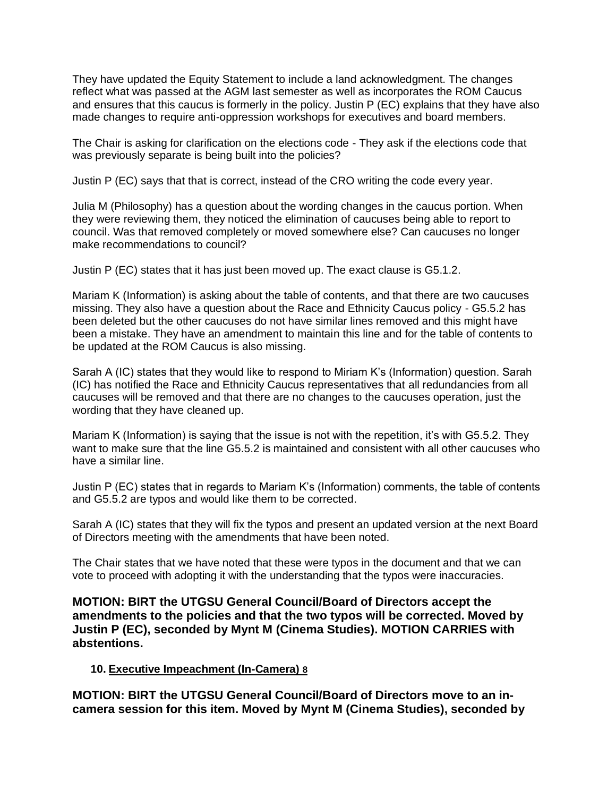They have updated the Equity Statement to include a land acknowledgment. The changes reflect what was passed at the AGM last semester as well as incorporates the ROM Caucus and ensures that this caucus is formerly in the policy. Justin P (EC) explains that they have also made changes to require anti-oppression workshops for executives and board members.

The Chair is asking for clarification on the elections code - They ask if the elections code that was previously separate is being built into the policies?

Justin P (EC) says that that is correct, instead of the CRO writing the code every year.

Julia M (Philosophy) has a question about the wording changes in the caucus portion. When they were reviewing them, they noticed the elimination of caucuses being able to report to council. Was that removed completely or moved somewhere else? Can caucuses no longer make recommendations to council?

Justin P (EC) states that it has just been moved up. The exact clause is G5.1.2.

Mariam K (Information) is asking about the table of contents, and that there are two caucuses missing. They also have a question about the Race and Ethnicity Caucus policy - G5.5.2 has been deleted but the other caucuses do not have similar lines removed and this might have been a mistake. They have an amendment to maintain this line and for the table of contents to be updated at the ROM Caucus is also missing.

Sarah A (IC) states that they would like to respond to Miriam K's (Information) question. Sarah (IC) has notified the Race and Ethnicity Caucus representatives that all redundancies from all caucuses will be removed and that there are no changes to the caucuses operation, just the wording that they have cleaned up.

Mariam K (Information) is saying that the issue is not with the repetition, it's with G5.5.2. They want to make sure that the line G5.5.2 is maintained and consistent with all other caucuses who have a similar line.

Justin P (EC) states that in regards to Mariam K's (Information) comments, the table of contents and G5.5.2 are typos and would like them to be corrected.

Sarah A (IC) states that they will fix the typos and present an updated version at the next Board of Directors meeting with the amendments that have been noted.

The Chair states that we have noted that these were typos in the document and that we can vote to proceed with adopting it with the understanding that the typos were inaccuracies.

**MOTION: BIRT the UTGSU General Council/Board of Directors accept the amendments to the policies and that the two typos will be corrected. Moved by Justin P (EC), seconded by Mynt M (Cinema Studies). MOTION CARRIES with abstentions.**

#### **10. Executive Impeachment (In-Camera) 8**

**MOTION: BIRT the UTGSU General Council/Board of Directors move to an incamera session for this item. Moved by Mynt M (Cinema Studies), seconded by**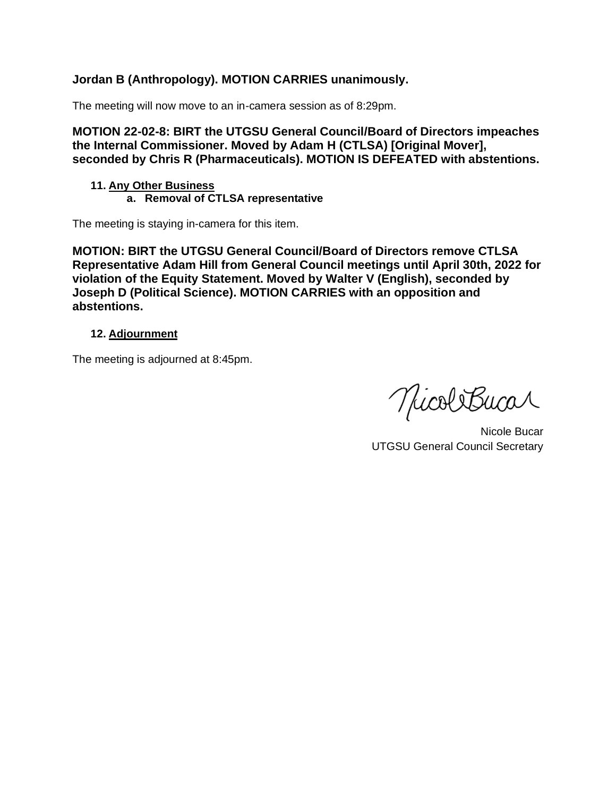# **Jordan B (Anthropology). MOTION CARRIES unanimously.**

The meeting will now move to an in-camera session as of 8:29pm.

**MOTION 22-02-8: BIRT the UTGSU General Council/Board of Directors impeaches the Internal Commissioner. Moved by Adam H (CTLSA) [Original Mover], seconded by Chris R (Pharmaceuticals). MOTION IS DEFEATED with abstentions.**

#### **11. Any Other Business a. Removal of CTLSA representative**

The meeting is staying in-camera for this item.

**MOTION: BIRT the UTGSU General Council/Board of Directors remove CTLSA Representative Adam Hill from General Council meetings until April 30th, 2022 for violation of the Equity Statement. Moved by Walter V (English), seconded by Joseph D (Political Science). MOTION CARRIES with an opposition and abstentions.**

#### **12. Adjournment**

The meeting is adjourned at 8:45pm.

MicoliBucar

Nicole Bucar UTGSU General Council Secretary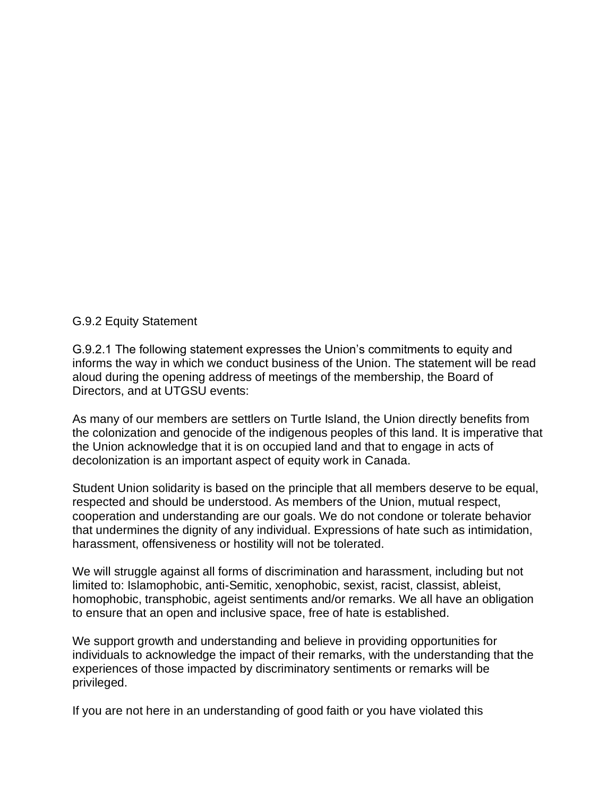#### G.9.2 Equity Statement

G.9.2.1 The following statement expresses the Union's commitments to equity and informs the way in which we conduct business of the Union. The statement will be read aloud during the opening address of meetings of the membership, the Board of Directors, and at UTGSU events:

As many of our members are settlers on Turtle Island, the Union directly benefits from the colonization and genocide of the indigenous peoples of this land. It is imperative that the Union acknowledge that it is on occupied land and that to engage in acts of decolonization is an important aspect of equity work in Canada.

Student Union solidarity is based on the principle that all members deserve to be equal, respected and should be understood. As members of the Union, mutual respect, cooperation and understanding are our goals. We do not condone or tolerate behavior that undermines the dignity of any individual. Expressions of hate such as intimidation, harassment, offensiveness or hostility will not be tolerated.

We will struggle against all forms of discrimination and harassment, including but not limited to: Islamophobic, anti-Semitic, xenophobic, sexist, racist, classist, ableist, homophobic, transphobic, ageist sentiments and/or remarks. We all have an obligation to ensure that an open and inclusive space, free of hate is established.

We support growth and understanding and believe in providing opportunities for individuals to acknowledge the impact of their remarks, with the understanding that the experiences of those impacted by discriminatory sentiments or remarks will be privileged.

If you are not here in an understanding of good faith or you have violated this